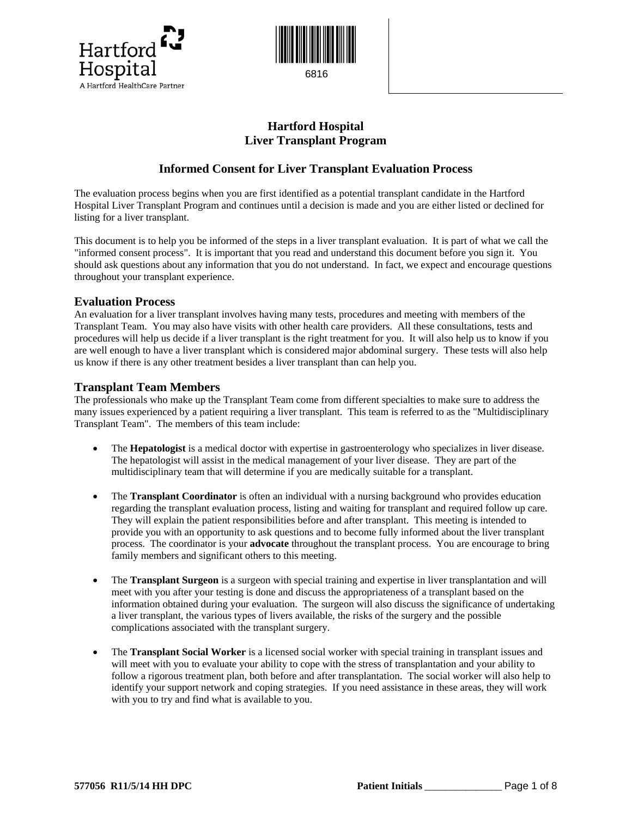



# **Hartford Hospital Liver Transplant Program**

## **Informed Consent for Liver Transplant Evaluation Process**

The evaluation process begins when you are first identified as a potential transplant candidate in the Hartford Hospital Liver Transplant Program and continues until a decision is made and you are either listed or declined for listing for a liver transplant.

This document is to help you be informed of the steps in a liver transplant evaluation. It is part of what we call the "informed consent process". It is important that you read and understand this document before you sign it. You should ask questions about any information that you do not understand. In fact, we expect and encourage questions throughout your transplant experience.

### **Evaluation Process**

An evaluation for a liver transplant involves having many tests, procedures and meeting with members of the Transplant Team. You may also have visits with other health care providers. All these consultations, tests and procedures will help us decide if a liver transplant is the right treatment for you. It will also help us to know if you are well enough to have a liver transplant which is considered major abdominal surgery. These tests will also help us know if there is any other treatment besides a liver transplant than can help you.

### **Transplant Team Members**

The professionals who make up the Transplant Team come from different specialties to make sure to address the many issues experienced by a patient requiring a liver transplant. This team is referred to as the "Multidisciplinary Transplant Team". The members of this team include:

- The **Hepatologist** is a medical doctor with expertise in gastroenterology who specializes in liver disease. The hepatologist will assist in the medical management of your liver disease. They are part of the multidisciplinary team that will determine if you are medically suitable for a transplant.
- The **Transplant Coordinator** is often an individual with a nursing background who provides education regarding the transplant evaluation process, listing and waiting for transplant and required follow up care. They will explain the patient responsibilities before and after transplant. This meeting is intended to provide you with an opportunity to ask questions and to become fully informed about the liver transplant process. The coordinator is your **advocate** throughout the transplant process. You are encourage to bring family members and significant others to this meeting.
- The **Transplant Surgeon** is a surgeon with special training and expertise in liver transplantation and will meet with you after your testing is done and discuss the appropriateness of a transplant based on the information obtained during your evaluation. The surgeon will also discuss the significance of undertaking a liver transplant, the various types of livers available, the risks of the surgery and the possible complications associated with the transplant surgery.
- The **Transplant Social Worker** is a licensed social worker with special training in transplant issues and will meet with you to evaluate your ability to cope with the stress of transplantation and your ability to follow a rigorous treatment plan, both before and after transplantation. The social worker will also help to identify your support network and coping strategies. If you need assistance in these areas, they will work with you to try and find what is available to you.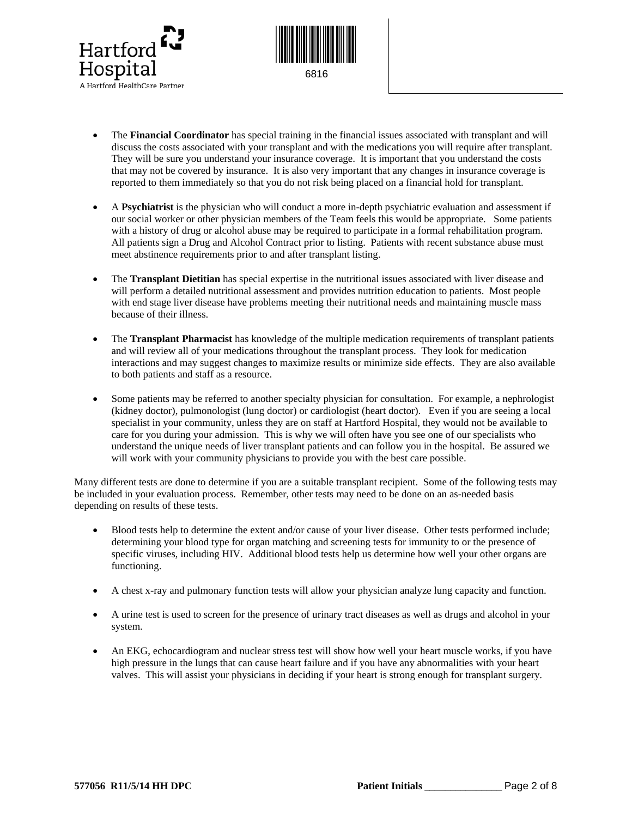



- The **Financial Coordinator** has special training in the financial issues associated with transplant and will discuss the costs associated with your transplant and with the medications you will require after transplant. They will be sure you understand your insurance coverage. It is important that you understand the costs that may not be covered by insurance. It is also very important that any changes in insurance coverage is reported to them immediately so that you do not risk being placed on a financial hold for transplant.
- A **Psychiatrist** is the physician who will conduct a more in-depth psychiatric evaluation and assessment if our social worker or other physician members of the Team feels this would be appropriate. Some patients with a history of drug or alcohol abuse may be required to participate in a formal rehabilitation program. All patients sign a Drug and Alcohol Contract prior to listing. Patients with recent substance abuse must meet abstinence requirements prior to and after transplant listing.
- The **Transplant Dietitian** has special expertise in the nutritional issues associated with liver disease and will perform a detailed nutritional assessment and provides nutrition education to patients. Most people with end stage liver disease have problems meeting their nutritional needs and maintaining muscle mass because of their illness.
- The **Transplant Pharmacist** has knowledge of the multiple medication requirements of transplant patients and will review all of your medications throughout the transplant process. They look for medication interactions and may suggest changes to maximize results or minimize side effects. They are also available to both patients and staff as a resource.
- Some patients may be referred to another specialty physician for consultation. For example, a nephrologist (kidney doctor), pulmonologist (lung doctor) or cardiologist (heart doctor). Even if you are seeing a local specialist in your community, unless they are on staff at Hartford Hospital, they would not be available to care for you during your admission. This is why we will often have you see one of our specialists who understand the unique needs of liver transplant patients and can follow you in the hospital. Be assured we will work with your community physicians to provide you with the best care possible.

Many different tests are done to determine if you are a suitable transplant recipient. Some of the following tests may be included in your evaluation process. Remember, other tests may need to be done on an as-needed basis depending on results of these tests.

- Blood tests help to determine the extent and/or cause of your liver disease. Other tests performed include; determining your blood type for organ matching and screening tests for immunity to or the presence of specific viruses, including HIV. Additional blood tests help us determine how well your other organs are functioning.
- A chest x-ray and pulmonary function tests will allow your physician analyze lung capacity and function.
- A urine test is used to screen for the presence of urinary tract diseases as well as drugs and alcohol in your system.
- An EKG, echocardiogram and nuclear stress test will show how well your heart muscle works, if you have high pressure in the lungs that can cause heart failure and if you have any abnormalities with your heart valves. This will assist your physicians in deciding if your heart is strong enough for transplant surgery.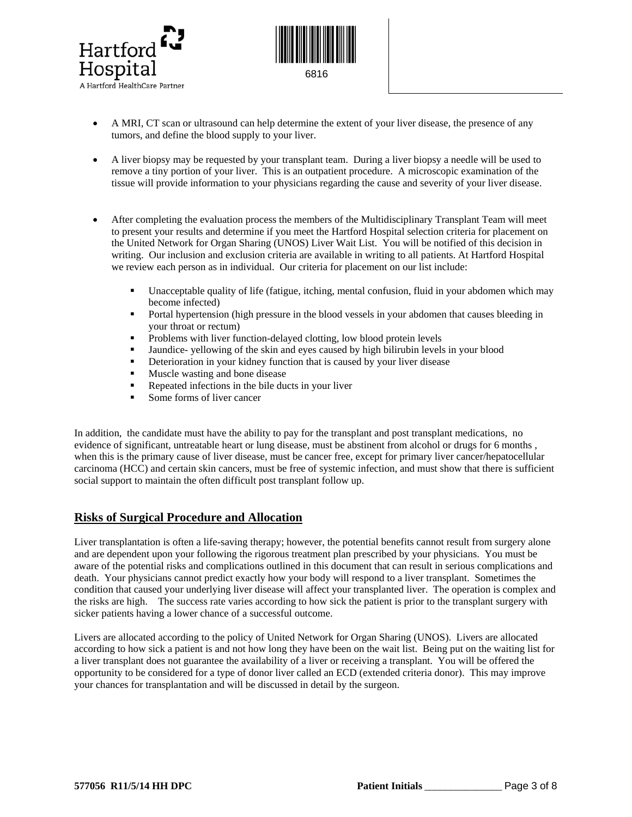



- A MRI, CT scan or ultrasound can help determine the extent of your liver disease, the presence of any tumors, and define the blood supply to your liver.
- A liver biopsy may be requested by your transplant team. During a liver biopsy a needle will be used to remove a tiny portion of your liver. This is an outpatient procedure. A microscopic examination of the tissue will provide information to your physicians regarding the cause and severity of your liver disease.
- After completing the evaluation process the members of the Multidisciplinary Transplant Team will meet to present your results and determine if you meet the Hartford Hospital selection criteria for placement on the United Network for Organ Sharing (UNOS) Liver Wait List. You will be notified of this decision in writing. Our inclusion and exclusion criteria are available in writing to all patients. At Hartford Hospital we review each person as in individual. Our criteria for placement on our list include:
	- Unacceptable quality of life (fatigue, itching, mental confusion, fluid in your abdomen which may become infected)
	- Portal hypertension (high pressure in the blood vessels in your abdomen that causes bleeding in your throat or rectum)
	- **Problems with liver function-delayed clotting, low blood protein levels**
	- Jaundice- yellowing of the skin and eyes caused by high bilirubin levels in your blood
	- Deterioration in your kidney function that is caused by your liver disease
	- **Muscle wasting and bone disease**
	- Repeated infections in the bile ducts in your liver
	- Some forms of liver cancer

In addition, the candidate must have the ability to pay for the transplant and post transplant medications, no evidence of significant, untreatable heart or lung disease, must be abstinent from alcohol or drugs for 6 months , when this is the primary cause of liver disease, must be cancer free, except for primary liver cancer/hepatocellular carcinoma (HCC) and certain skin cancers, must be free of systemic infection, and must show that there is sufficient social support to maintain the often difficult post transplant follow up.

### **Risks of Surgical Procedure and Allocation**

Liver transplantation is often a life-saving therapy; however, the potential benefits cannot result from surgery alone and are dependent upon your following the rigorous treatment plan prescribed by your physicians. You must be aware of the potential risks and complications outlined in this document that can result in serious complications and death. Your physicians cannot predict exactly how your body will respond to a liver transplant. Sometimes the condition that caused your underlying liver disease will affect your transplanted liver. The operation is complex and the risks are high. The success rate varies according to how sick the patient is prior to the transplant surgery with sicker patients having a lower chance of a successful outcome.

Livers are allocated according to the policy of United Network for Organ Sharing (UNOS). Livers are allocated according to how sick a patient is and not how long they have been on the wait list. Being put on the waiting list for a liver transplant does not guarantee the availability of a liver or receiving a transplant. You will be offered the opportunity to be considered for a type of donor liver called an ECD (extended criteria donor). This may improve your chances for transplantation and will be discussed in detail by the surgeon.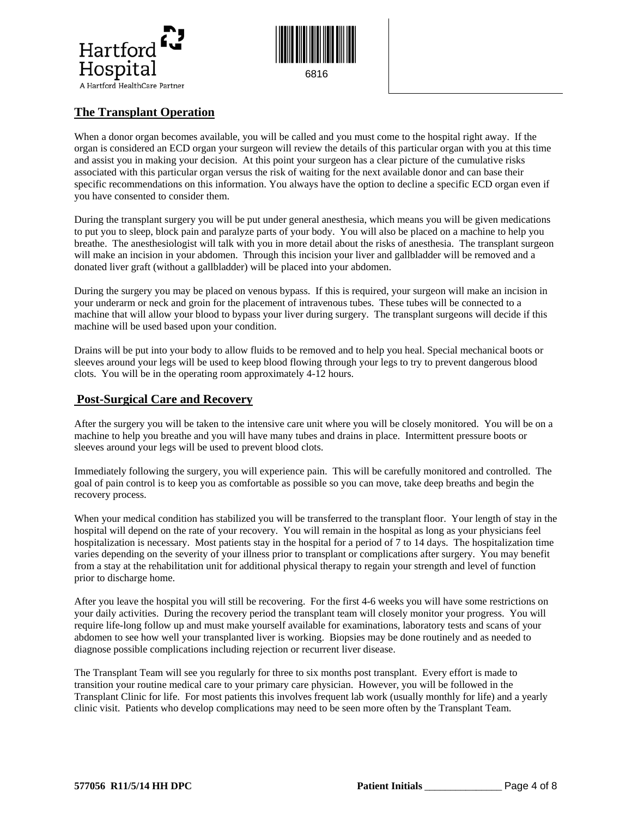



## **The Transplant Operation**

 When a donor organ becomes available, you will be called and you must come to the hospital right away. If the organ is considered an ECD organ your surgeon will review the details of this particular organ with you at this time and assist you in making your decision. At this point your surgeon has a clear picture of the cumulative risks associated with this particular organ versus the risk of waiting for the next available donor and can base their specific recommendations on this information. You always have the option to decline a specific ECD organ even if you have consented to consider them.

During the transplant surgery you will be put under general anesthesia, which means you will be given medications to put you to sleep, block pain and paralyze parts of your body. You will also be placed on a machine to help you breathe. The anesthesiologist will talk with you in more detail about the risks of anesthesia. The transplant surgeon will make an incision in your abdomen. Through this incision your liver and gallbladder will be removed and a donated liver graft (without a gallbladder) will be placed into your abdomen.

During the surgery you may be placed on venous bypass. If this is required, your surgeon will make an incision in your underarm or neck and groin for the placement of intravenous tubes. These tubes will be connected to a machine that will allow your blood to bypass your liver during surgery. The transplant surgeons will decide if this machine will be used based upon your condition.

Drains will be put into your body to allow fluids to be removed and to help you heal. Special mechanical boots or sleeves around your legs will be used to keep blood flowing through your legs to try to prevent dangerous blood clots. You will be in the operating room approximately 4-12 hours.

### **Post-Surgical Care and Recovery**

After the surgery you will be taken to the intensive care unit where you will be closely monitored. You will be on a machine to help you breathe and you will have many tubes and drains in place. Intermittent pressure boots or sleeves around your legs will be used to prevent blood clots.

Immediately following the surgery, you will experience pain. This will be carefully monitored and controlled. The goal of pain control is to keep you as comfortable as possible so you can move, take deep breaths and begin the recovery process.

When your medical condition has stabilized you will be transferred to the transplant floor. Your length of stay in the hospital will depend on the rate of your recovery. You will remain in the hospital as long as your physicians feel hospitalization is necessary. Most patients stay in the hospital for a period of 7 to 14 days. The hospitalization time varies depending on the severity of your illness prior to transplant or complications after surgery. You may benefit from a stay at the rehabilitation unit for additional physical therapy to regain your strength and level of function prior to discharge home.

After you leave the hospital you will still be recovering. For the first 4-6 weeks you will have some restrictions on your daily activities. During the recovery period the transplant team will closely monitor your progress. You will require life-long follow up and must make yourself available for examinations, laboratory tests and scans of your abdomen to see how well your transplanted liver is working. Biopsies may be done routinely and as needed to diagnose possible complications including rejection or recurrent liver disease.

The Transplant Team will see you regularly for three to six months post transplant. Every effort is made to transition your routine medical care to your primary care physician. However, you will be followed in the Transplant Clinic for life. For most patients this involves frequent lab work (usually monthly for life) and a yearly clinic visit. Patients who develop complications may need to be seen more often by the Transplant Team.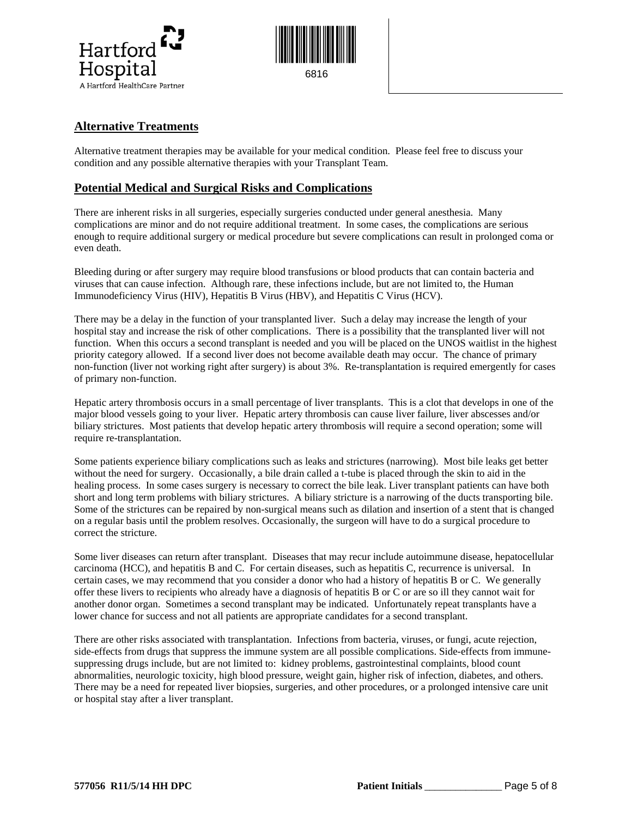



### **Alternative Treatments**

Alternative treatment therapies may be available for your medical condition. Please feel free to discuss your condition and any possible alternative therapies with your Transplant Team.

#### **Potential Medical and Surgical Risks and Complications**

There are inherent risks in all surgeries, especially surgeries conducted under general anesthesia. Many complications are minor and do not require additional treatment. In some cases, the complications are serious enough to require additional surgery or medical procedure but severe complications can result in prolonged coma or even death.

Bleeding during or after surgery may require blood transfusions or blood products that can contain bacteria and viruses that can cause infection. Although rare, these infections include, but are not limited to, the Human Immunodeficiency Virus (HIV), Hepatitis B Virus (HBV), and Hepatitis C Virus (HCV).

There may be a delay in the function of your transplanted liver. Such a delay may increase the length of your hospital stay and increase the risk of other complications. There is a possibility that the transplanted liver will not function. When this occurs a second transplant is needed and you will be placed on the UNOS waitlist in the highest priority category allowed. If a second liver does not become available death may occur. The chance of primary non-function (liver not working right after surgery) is about 3%. Re-transplantation is required emergently for cases of primary non-function.

Hepatic artery thrombosis occurs in a small percentage of liver transplants. This is a clot that develops in one of the major blood vessels going to your liver. Hepatic artery thrombosis can cause liver failure, liver abscesses and/or biliary strictures. Most patients that develop hepatic artery thrombosis will require a second operation; some will require re-transplantation.

Some patients experience biliary complications such as leaks and strictures (narrowing). Most bile leaks get better without the need for surgery. Occasionally, a bile drain called a t-tube is placed through the skin to aid in the healing process. In some cases surgery is necessary to correct the bile leak. Liver transplant patients can have both short and long term problems with biliary strictures. A biliary stricture is a narrowing of the ducts transporting bile. Some of the strictures can be repaired by non-surgical means such as dilation and insertion of a stent that is changed on a regular basis until the problem resolves. Occasionally, the surgeon will have to do a surgical procedure to correct the stricture.

Some liver diseases can return after transplant. Diseases that may recur include autoimmune disease, hepatocellular carcinoma (HCC), and hepatitis B and C. For certain diseases, such as hepatitis C, recurrence is universal. In certain cases, we may recommend that you consider a donor who had a history of hepatitis B or C. We generally offer these livers to recipients who already have a diagnosis of hepatitis B or C or are so ill they cannot wait for another donor organ. Sometimes a second transplant may be indicated. Unfortunately repeat transplants have a lower chance for success and not all patients are appropriate candidates for a second transplant.

There are other risks associated with transplantation. Infections from bacteria, viruses, or fungi, acute rejection, side-effects from drugs that suppress the immune system are all possible complications. Side-effects from immunesuppressing drugs include, but are not limited to: kidney problems, gastrointestinal complaints, blood count abnormalities, neurologic toxicity, high blood pressure, weight gain, higher risk of infection, diabetes, and others. There may be a need for repeated liver biopsies, surgeries, and other procedures, or a prolonged intensive care unit or hospital stay after a liver transplant.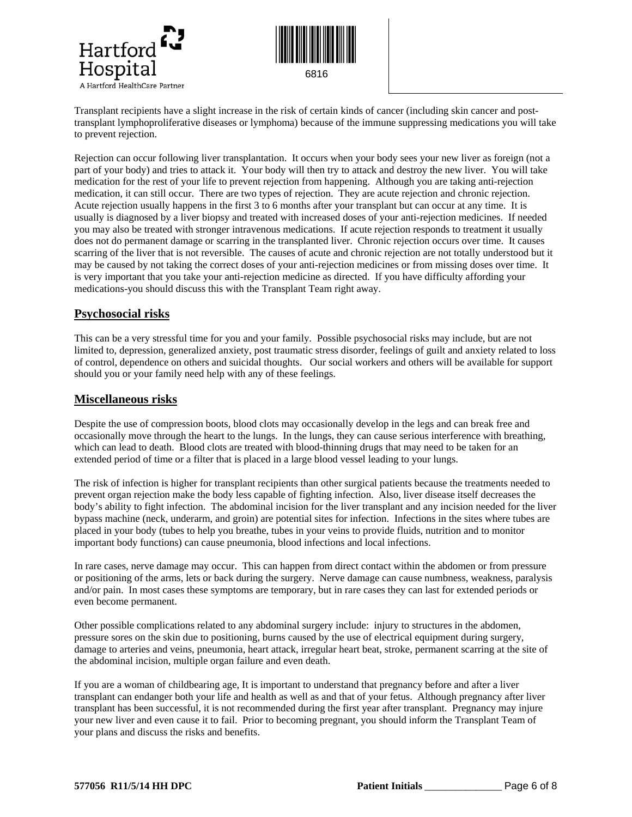



Transplant recipients have a slight increase in the risk of certain kinds of cancer (including skin cancer and posttransplant lymphoproliferative diseases or lymphoma) because of the immune suppressing medications you will take to prevent rejection.

Rejection can occur following liver transplantation. It occurs when your body sees your new liver as foreign (not a part of your body) and tries to attack it. Your body will then try to attack and destroy the new liver. You will take medication for the rest of your life to prevent rejection from happening. Although you are taking anti-rejection medication, it can still occur. There are two types of rejection. They are acute rejection and chronic rejection. Acute rejection usually happens in the first 3 to 6 months after your transplant but can occur at any time. It is usually is diagnosed by a liver biopsy and treated with increased doses of your anti-rejection medicines. If needed you may also be treated with stronger intravenous medications. If acute rejection responds to treatment it usually does not do permanent damage or scarring in the transplanted liver. Chronic rejection occurs over time. It causes scarring of the liver that is not reversible. The causes of acute and chronic rejection are not totally understood but it may be caused by not taking the correct doses of your anti-rejection medicines or from missing doses over time. It is very important that you take your anti-rejection medicine as directed. If you have difficulty affording your medications-you should discuss this with the Transplant Team right away.

### **Psychosocial risks**

This can be a very stressful time for you and your family. Possible psychosocial risks may include, but are not limited to, depression, generalized anxiety, post traumatic stress disorder, feelings of guilt and anxiety related to loss of control, dependence on others and suicidal thoughts. Our social workers and others will be available for support should you or your family need help with any of these feelings.

#### **Miscellaneous risks**

Despite the use of compression boots, blood clots may occasionally develop in the legs and can break free and occasionally move through the heart to the lungs. In the lungs, they can cause serious interference with breathing, which can lead to death. Blood clots are treated with blood-thinning drugs that may need to be taken for an extended period of time or a filter that is placed in a large blood vessel leading to your lungs.

The risk of infection is higher for transplant recipients than other surgical patients because the treatments needed to prevent organ rejection make the body less capable of fighting infection. Also, liver disease itself decreases the body's ability to fight infection. The abdominal incision for the liver transplant and any incision needed for the liver bypass machine (neck, underarm, and groin) are potential sites for infection. Infections in the sites where tubes are placed in your body (tubes to help you breathe, tubes in your veins to provide fluids, nutrition and to monitor important body functions) can cause pneumonia, blood infections and local infections.

In rare cases, nerve damage may occur. This can happen from direct contact within the abdomen or from pressure or positioning of the arms, lets or back during the surgery. Nerve damage can cause numbness, weakness, paralysis and/or pain. In most cases these symptoms are temporary, but in rare cases they can last for extended periods or even become permanent.

Other possible complications related to any abdominal surgery include:injury to structures in the abdomen, pressure sores on the skin due to positioning, burns caused by the use of electrical equipment during surgery, damage to arteries and veins, pneumonia, heart attack, irregular heart beat, stroke, permanent scarring at the site of the abdominal incision, multiple organ failure and even death.

If you are a woman of childbearing age, It is important to understand that pregnancy before and after a liver transplant can endanger both your life and health as well as and that of your fetus. Although pregnancy after liver transplant has been successful, it is not recommended during the first year after transplant. Pregnancy may injure your new liver and even cause it to fail. Prior to becoming pregnant, you should inform the Transplant Team of your plans and discuss the risks and benefits.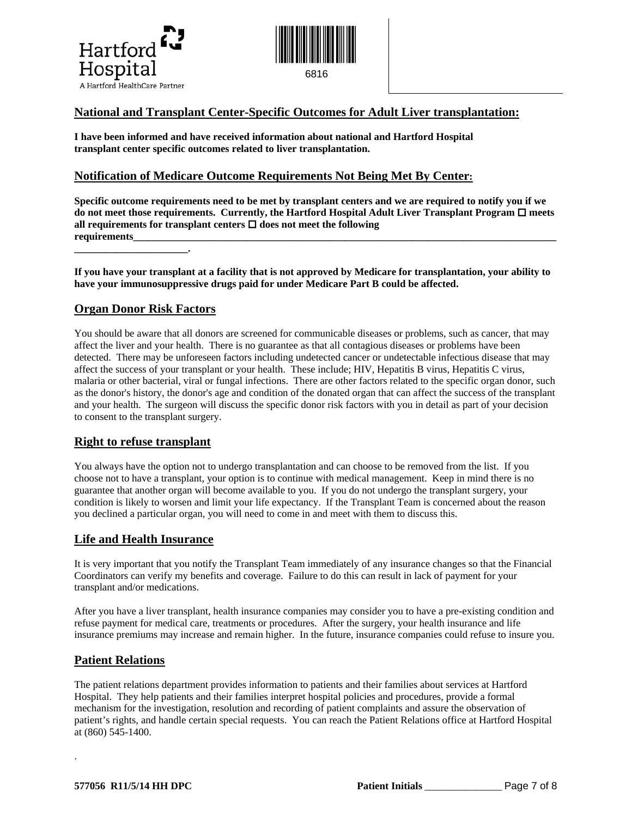



### **National and Transplant Center-Specific Outcomes for Adult Liver transplantation:**

**I have been informed and have received information about national and Hartford Hospital transplant center specific outcomes related to liver transplantation.** 

### **Notification of Medicare Outcome Requirements Not Being Met By Center:**

**Specific outcome requirements need to be met by transplant centers and we are required to notify you if we**   $\bf d$ o  $\bf n$ ot meet those requirements. Currently, the Hartford Hospital Adult Liver Transplant Program  $\bf \Box$  meets all requirements for transplant centers  $\Box$  does not meet the following requirements **\_\_\_\_\_\_\_\_\_\_\_\_\_\_\_\_\_\_\_\_\_\_.** 

**If you have your transplant at a facility that is not approved by Medicare for transplantation, your ability to have your immunosuppressive drugs paid for under Medicare Part B could be affected.** 

### **Organ Donor Risk Factors**

You should be aware that all donors are screened for communicable diseases or problems, such as cancer, that may affect the liver and your health. There is no guarantee as that all contagious diseases or problems have been detected. There may be unforeseen factors including undetected cancer or undetectable infectious disease that may affect the success of your transplant or your health. These include; HIV, Hepatitis B virus, Hepatitis C virus, malaria or other bacterial, viral or fungal infections. There are other factors related to the specific organ donor, such as the donor's history, the donor's age and condition of the donated organ that can affect the success of the transplant and your health. The surgeon will discuss the specific donor risk factors with you in detail as part of your decision to consent to the transplant surgery.

#### **Right to refuse transplant**

You always have the option not to undergo transplantation and can choose to be removed from the list. If you choose not to have a transplant, your option is to continue with medical management. Keep in mind there is no guarantee that another organ will become available to you. If you do not undergo the transplant surgery, your condition is likely to worsen and limit your life expectancy. If the Transplant Team is concerned about the reason you declined a particular organ, you will need to come in and meet with them to discuss this.

### **Life and Health Insurance**

It is very important that you notify the Transplant Team immediately of any insurance changes so that the Financial Coordinators can verify my benefits and coverage. Failure to do this can result in lack of payment for your transplant and/or medications.

After you have a liver transplant, health insurance companies may consider you to have a pre-existing condition and refuse payment for medical care, treatments or procedures. After the surgery, your health insurance and life insurance premiums may increase and remain higher. In the future, insurance companies could refuse to insure you.

#### **Patient Relations**

.

The patient relations department provides information to patients and their families about services at Hartford Hospital. They help patients and their families interpret hospital policies and procedures, provide a formal mechanism for the investigation, resolution and recording of patient complaints and assure the observation of patient's rights, and handle certain special requests. You can reach the Patient Relations office at Hartford Hospital at (860) 545-1400.

**577056 R11/5/14 HH DPC Patient Initials** *\_\_\_\_\_\_\_\_\_\_\_\_\_\_\_*  Page 7 of 8